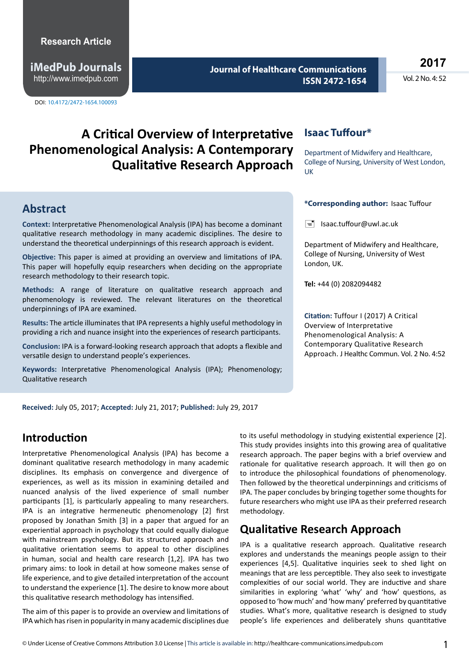**iMedPub Journals** http://www.imedpub.com

DOI: 10.4172/2472-1654.100093

**Journal of Healthcare Communications ISSN 2472-1654** **2017**

Vol. 2 No. 4: 52

# **A Critical Overview of Interpretative Phenomenological Analysis: A Contemporary Qualitative Research Approach**

#### **Abstract**

**Context:** Interpretative Phenomenological Analysis (IPA) has become a dominant qualitative research methodology in many academic disciplines. The desire to understand the theoretical underpinnings of this research approach is evident.

**Objective:** This paper is aimed at providing an overview and limitations of IPA. This paper will hopefully equip researchers when deciding on the appropriate research methodology to their research topic.

**Methods:** A range of literature on qualitative research approach and phenomenology is reviewed. The relevant literatures on the theoretical underpinnings of IPA are examined.

**Results:** The article illuminates that IPA represents a highly useful methodology in providing a rich and nuance insight into the experiences of research participants.

**Conclusion:** IPA is a forward-looking research approach that adopts a flexible and versatile design to understand people's experiences.

**Keywords:** Interpretative Phenomenological Analysis (IPA); Phenomenology; Qualitative research

#### **Isaac Tuffour\***

Department of Midwifery and Healthcare, College of Nursing, University of West London, UK

#### **\*Corresponding author:** Isaac Tuffour

 $\equiv$  Isaac.tuffour@uwl.ac.uk

Department of Midwifery and Healthcare, College of Nursing, University of West London, UK.

**Tel:** +44 (0) 2082094482

**Citation:** Tuffour I (2017) A Critical Overview of Interpretative Phenomenological Analysis: A Contemporary Qualitative Research Approach. J Healthc Commun. Vol. 2 No. 4:52

**Received:** July 05, 2017; **Accepted:** July 21, 2017; **Published:** July 29, 2017

# **Introduction**

Interpretative Phenomenological Analysis (IPA) has become a dominant qualitative research methodology in many academic disciplines. Its emphasis on convergence and divergence of experiences, as well as its mission in examining detailed and nuanced analysis of the lived experience of small number participants [1], is particularly appealing to many researchers. IPA is an integrative hermeneutic phenomenology [2] first proposed by Jonathan Smith [3] in a paper that argued for an experiential approach in psychology that could equally dialogue with mainstream psychology. But its structured approach and qualitative orientation seems to appeal to other disciplines in human, social and health care research [1,2]. IPA has two primary aims: to look in detail at how someone makes sense of life experience, and to give detailed interpretation of the account to understand the experience [1]. The desire to know more about this qualitative research methodology has intensified.

The aim of this paper is to provide an overview and limitations of IPA which has risen in popularity in many academic disciplines due to its useful methodology in studying existential experience [2]. This study provides insights into this growing area of qualitative research approach. The paper begins with a brief overview and rationale for qualitative research approach. It will then go on to introduce the philosophical foundations of phenomenology. Then followed by the theoretical underpinnings and criticisms of IPA. The paper concludes by bringing together some thoughts for future researchers who might use IPA as their preferred research methodology.

# **Qualitative Research Approach**

IPA is a qualitative research approach. Qualitative research explores and understands the meanings people assign to their experiences [4,5]. Qualitative inquiries seek to shed light on meanings that are less perceptible. They also seek to investigate complexities of our social world. They are inductive and share similarities in exploring 'what' 'why' and 'how' questions, as opposed to 'how much' and 'how many' preferred by quantitative studies. What's more, qualitative research is designed to study people's life experiences and deliberately shuns quantitative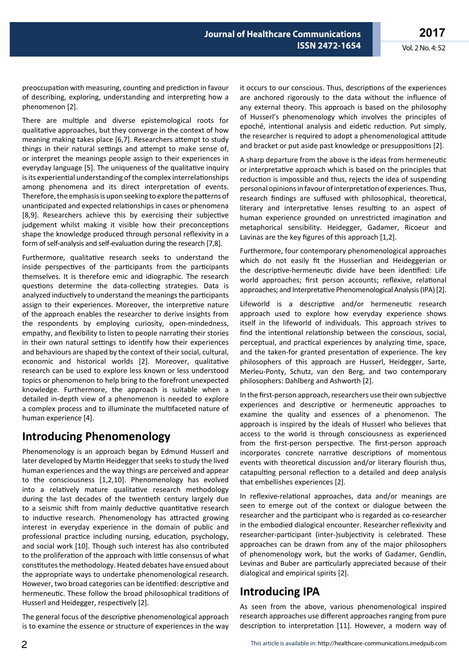preoccupation with measuring, counting and prediction in favour of describing, exploring, understanding and interpreting how a phenomenon [2].

There are multiple and diverse epistemological roots for qualitative approaches, but they converge in the context of how meaning making takes place [6,7]. Researchers attempt to study things in their natural settings and attempt to make sense of, or interpret the meanings people assign to their experiences in everyday language [5]. The uniqueness of the qualitative inquiry is its experiential understanding of the complex interrelationships among phenomena and its direct interpretation of events. Therefore, the emphasis is upon seeking to explore the patterns of unanticipated and expected relationships in cases or phenomena [8,9]. Researchers achieve this by exercising their subjective judgement whilst making it visible how their preconceptions shape the knowledge produced through personal reflexivity in a form of self-analysis and self-evaluation during the research [7,8].

Furthermore, qualitative research seeks to understand the inside perspectives of the participants from the participants themselves. It is therefore emic and idiographic. The research questions determine the data-collecting strategies. Data is analyzed inductively to understand the meanings the participants assign to their experiences. Moreover, the interpretive nature of the approach enables the researcher to derive insights from the respondents by employing curiosity, open-mindedness, empathy, and flexibility to listen to people narrating their stories in their own natural settings to identify how their experiences and behaviours are shaped by the context of their social, cultural, economic and historical worlds [2]. Moreover, qualitative research can be used to explore less known or less understood topics or phenomenon to help bring to the forefront unexpected knowledge. Furthermore, the approach is suitable when a detailed in-depth view of a phenomenon is needed to explore a complex process and to illuminate the multifaceted nature of human experience [4].

# **Introducing Phenomenology**

Phenomenology is an approach began by Edmund Husserl and later developed by Martin Heidegger that seeks to study the lived human experiences and the way things are perceived and appear to the consciousness [1,2,10]. Phenomenology has evolved into a relatively mature qualitative research methodology during the last decades of the twentieth century largely due to a seismic shift from mainly deductive quantitative research to inductive research. Phenomenology has attracted growing interest in everyday experience in the domain of public and professional practice including nursing, education, psychology, and social work [10]. Though such interest has also contributed to the proliferation of the approach with little consensus of what constitutes the methodology. Heated debates have ensued about the appropriate ways to undertake phenomenological research. However, two broad categories can be identified: descriptive and hermeneutic. These follow the broad philosophical traditions of Husserl and Heidegger, respectively [2].

The general focus of the descriptive phenomenological approach is to examine the essence or structure of experiences in the way

it occurs to our conscious. Thus, descriptions of the experiences are anchored rigorously to the data without the influence of any external theory. This approach is based on the philosophy of Husserl's phenomenology which involves the principles of epoché, intentional analysis and eidetic reduction. Put simply, the researcher is required to adopt a phenomenological attitude and bracket or put aside past knowledge or presuppositions [2].

A sharp departure from the above is the ideas from hermeneutic or interpretative approach which is based on the principles that reduction is impossible and thus, rejects the idea of suspending personal opinions in favour of interpretation of experiences. Thus, research findings are suffused with philosophical, theoretical, literary and interpretative lenses resulting to an aspect of human experience grounded on unrestricted imagination and metaphorical sensibility. Heidegger, Gadamer, Ricoeur and Lavinas are the key figures of this approach [1,2].

Furthermore, four contemporary phenomenological approaches which do not easily fit the Husserlian and Heideggerian or the descriptive-hermeneutic divide have been identified: Life world approaches; first person accounts; reflexive, relational approaches; and Interpretative Phenomenological Analysis (IPA) [2].

Lifeworld is a descriptive and/or hermeneutic research approach used to explore how everyday experience shows itself in the lifeworld of individuals. This approach strives to find the intentional relationship between the conscious, social, perceptual, and practical experiences by analyzing time, space, and the taken-for granted presentation of experience. The key philosophers of this approach are Husserl, Heidegger, Sarte, Merleu-Ponty, Schutz, van den Berg, and two contemporary philosophers: Dahlberg and Ashworth [2].

In the first-person approach, researchers use their own subjective experiences and descriptive or hermeneutic approaches to examine the quality and essences of a phenomenon. The approach is inspired by the ideals of Husserl who believes that access to the world is through consciousness as experienced from the first-person perspective. The first-person approach incorporates concrete narrative descriptions of momentous events with theoretical discussion and/or literary flourish thus, catapulting personal reflection to a detailed and deep analysis that embellishes experiences [2].

In reflexive-relational approaches, data and/or meanings are seen to emerge out of the context or dialogue between the researcher and the participant who is regarded as co-researcher in the embodied dialogical encounter. Researcher reflexivity and researcher-participant (inter-)subjectivity is celebrated. These approaches can be drawn from any of the major philosophers of phenomenology work, but the works of Gadamer, Gendlin, Levinas and Buber are particularly appreciated because of their dialogical and empirical spirits [2].

# **Introducing IPA**

As seen from the above, various phenomenological inspired research approaches use different approaches ranging from pure description to interpretation [11]. However, a modern way of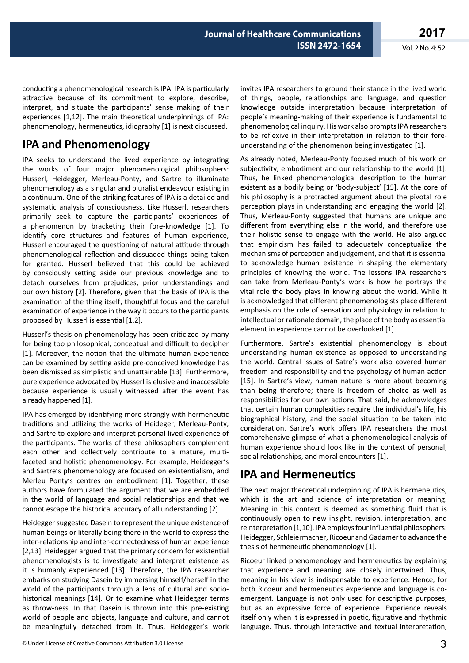conducting a phenomenological research is IPA. IPA is particularly attractive because of its commitment to explore, describe, interpret, and situate the participants' sense making of their experiences [1,12]. The main theoretical underpinnings of IPA: phenomenology, hermeneutics, idiography [1] is next discussed.

# **IPA and Phenomenology**

IPA seeks to understand the lived experience by integrating the works of four major phenomenological philosophers: Husserl, Heidegger, Merleau-Ponty, and Sartre to illuminate phenomenology as a singular and pluralist endeavour existing in a continuum. One of the striking features of IPA is a detailed and systematic analysis of consciousness. Like Husserl, researchers primarily seek to capture the participants' experiences of a phenomenon by bracketing their fore-knowledge [1]. To identify core structures and features of human experience, Husserl encouraged the questioning of natural attitude through phenomenological reflection and dissuaded things being taken for granted. Husserl believed that this could be achieved by consciously setting aside our previous knowledge and to detach ourselves from prejudices, prior understandings and our own history [2]. Therefore, given that the basis of IPA is the examination of the thing itself; thoughtful focus and the careful examination of experience in the way it occurs to the participants proposed by Husserl is essential [1,2].

Husserl's thesis on phenomenology has been criticized by many for being too philosophical, conceptual and difficult to decipher [1]. Moreover, the notion that the ultimate human experience can be examined by setting aside pre-conceived knowledge has been dismissed as simplistic and unattainable [13]. Furthermore, pure experience advocated by Husserl is elusive and inaccessible because experience is usually witnessed after the event has already happened [1].

IPA has emerged by identifying more strongly with hermeneutic traditions and utilizing the works of Heideger, Merleau-Ponty, and Sartre to explore and interpret personal lived experience of the participants. The works of these philosophers complement each other and collectively contribute to a mature, multifaceted and holistic phenomenology. For example, Heidegger's and Sartre's phenomenology are focused on existentialism, and Merleu Ponty's centres on embodiment [1]. Together, these authors have formulated the argument that we are embedded in the world of language and social relationships and that we cannot escape the historical accuracy of all understanding [2].

Heidegger suggested Dasein to represent the unique existence of human beings or literally being there in the world to express the inter-relationship and inter-connectedness of human experience [2,13]. Heidegger argued that the primary concern for existential phenomenologists is to investigate and interpret existence as it is humanly experienced [13]. Therefore, the IPA researcher embarks on studying Dasein by immersing himself/herself in the world of the participants through a lens of cultural and sociohistorical meanings [14]. Or to examine what Heidegger terms as throw-ness. In that Dasein is thrown into this pre-existing world of people and objects, language and culture, and cannot be meaningfully detached from it. Thus, Heidegger's work invites IPA researchers to ground their stance in the lived world of things, people, relationships and language, and question knowledge outside interpretation because interpretation of people's meaning-making of their experience is fundamental to phenomenological inquiry. His work also prompts IPA researchers to be reflexive in their interpretation in relation to their foreunderstanding of the phenomenon being investigated [1].

As already noted, Merleau-Ponty focused much of his work on subjectivity, embodiment and our relationship to the world [1]. Thus, he linked phenomenological description to the human existent as a bodily being or 'body-subject' [15]. At the core of his philosophy is a protracted argument about the pivotal role perception plays in understanding and engaging the world [2]. Thus, Merleau-Ponty suggested that humans are unique and different from everything else in the world, and therefore use their holistic sense to engage with the world. He also argued that empiricism has failed to adequately conceptualize the mechanisms of perception and judgement, and that it is essential to acknowledge human existence in shaping the elementary principles of knowing the world. The lessons IPA researchers can take from Merleau-Ponty's work is how he portrays the vital role the body plays in knowing about the world. While it is acknowledged that different phenomenologists place different emphasis on the role of sensation and physiology in relation to intellectual or rationale domain, the place of the body as essential element in experience cannot be overlooked [1].

Furthermore, Sartre's existential phenomenology is about understanding human existence as opposed to understanding the world. Central issues of Satre's work also covered human freedom and responsibility and the psychology of human action [15]. In Sartre's view, human nature is more about becoming than being therefore; there is freedom of choice as well as responsibilities for our own actions. That said, he acknowledges that certain human complexities require the individual's life, his biographical history, and the social situation to be taken into consideration. Sartre's work offers IPA researchers the most comprehensive glimpse of what a phenomenological analysis of human experience should look like in the context of personal, social relationships, and moral encounters [1].

# **IPA and Hermeneutics**

The next major theoretical underpinning of IPA is hermeneutics, which is the art and science of interpretation or meaning. Meaning in this context is deemed as something fluid that is continuously open to new insight, revision, interpretation, and reinterpretation [1,10]. IPA employs four influential philosophers: Heidegger, Schleiermacher, Ricoeur and Gadamer to advance the thesis of hermeneutic phenomenology [1].

Ricoeur linked phenomenology and hermeneutics by explaining that experience and meaning are closely intertwined. Thus, meaning in his view is indispensable to experience. Hence, for both Ricoeur and hermeneutics experience and language is coemergent. Language is not only used for descriptive purposes, but as an expressive force of experience. Experience reveals itself only when it is expressed in poetic, figurative and rhythmic language. Thus, through interactive and textual interpretation,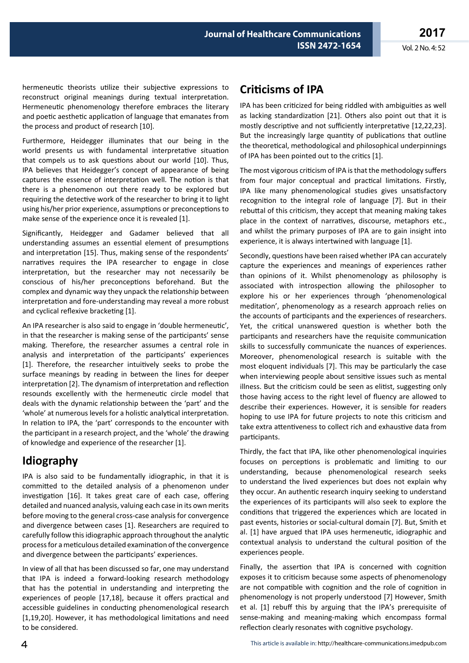**2017** Vol. 2 No. 4: 52

hermeneutic theorists utilize their subjective expressions to reconstruct original meanings during textual interpretation. Hermeneutic phenomenology therefore embraces the literary and poetic aesthetic application of language that emanates from the process and product of research [10].

Furthermore, Heidegger illuminates that our being in the world presents us with fundamental interpretative situation that compels us to ask questions about our world [10]. Thus, IPA believes that Heidegger's concept of appearance of being captures the essence of interpretation well. The notion is that there is a phenomenon out there ready to be explored but requiring the detective work of the researcher to bring it to light using his/her prior experience, assumptions or preconceptions to make sense of the experience once it is revealed [1].

Significantly, Heidegger and Gadamer believed that all understanding assumes an essential element of presumptions and interpretation [15]. Thus, making sense of the respondents' narratives requires the IPA researcher to engage in close interpretation, but the researcher may not necessarily be conscious of his/her preconceptions beforehand. But the complex and dynamic way they unpack the relationship between interpretation and fore-understanding may reveal a more robust and cyclical reflexive bracketing [1].

An IPA researcher is also said to engage in 'double hermeneutic', in that the researcher is making sense of the participants' sense making. Therefore, the researcher assumes a central role in analysis and interpretation of the participants' experiences [1]. Therefore, the researcher intuitively seeks to probe the surface meanings by reading in between the lines for deeper interpretation [2]. The dynamism of interpretation and reflection resounds excellently with the hermeneutic circle model that deals with the dynamic relationship between the 'part' and the 'whole' at numerous levels for a holistic analytical interpretation. In relation to IPA, the 'part' corresponds to the encounter with the participant in a research project, and the 'whole' the drawing of knowledge and experience of the researcher [1].

# **Idiography**

IPA is also said to be fundamentally idiographic, in that it is committed to the detailed analysis of a phenomenon under investigation [16]. It takes great care of each case, offering detailed and nuanced analysis, valuing each case in its own merits before moving to the general cross-case analysis for convergence and divergence between cases [1]. Researchers are required to carefully follow this idiographic approach throughout the analytic process for a meticulous detailed examination of the convergence and divergence between the participants' experiences.

In view of all that has been discussed so far, one may understand that IPA is indeed a forward-looking research methodology that has the potential in understanding and interpreting the experiences of people [17,18], because it offers practical and accessible guidelines in conducting phenomenological research [1,19,20]. However, it has methodological limitations and need to be considered.

# **Criticisms of IPA**

IPA has been criticized for being riddled with ambiguities as well as lacking standardization [21]. Others also point out that it is mostly descriptive and not sufficiently interpretative [12,22,23]. But the increasingly large quantity of publications that outline the theoretical, methodological and philosophical underpinnings of IPA has been pointed out to the critics [1].

The most vigorous criticism of IPA is that the methodology suffers from four major conceptual and practical limitations. Firstly, IPA like many phenomenological studies gives unsatisfactory recognition to the integral role of language [7]. But in their rebuttal of this criticism, they accept that meaning making takes place in the context of narratives, discourse, metaphors etc., and whilst the primary purposes of IPA are to gain insight into experience, it is always intertwined with language [1].

Secondly, questions have been raised whether IPA can accurately capture the experiences and meanings of experiences rather than opinions of it. Whilst phenomenology as philosophy is associated with introspection allowing the philosopher to explore his or her experiences through 'phenomenological meditation', phenomenology as a research approach relies on the accounts of participants and the experiences of researchers. Yet, the critical unanswered question is whether both the participants and researchers have the requisite communication skills to successfully communicate the nuances of experiences. Moreover, phenomenological research is suitable with the most eloquent individuals [7]. This may be particularly the case when interviewing people about sensitive issues such as mental illness. But the criticism could be seen as elitist, suggesting only those having access to the right level of fluency are allowed to describe their experiences. However, it is sensible for readers hoping to use IPA for future projects to note this criticism and take extra attentiveness to collect rich and exhaustive data from participants.

Thirdly, the fact that IPA, like other phenomenological inquiries focuses on perceptions is problematic and limiting to our understanding, because phenomenological research seeks to understand the lived experiences but does not explain why they occur. An authentic research inquiry seeking to understand the experiences of its participants will also seek to explore the conditions that triggered the experiences which are located in past events, histories or social-cultural domain [7]. But, Smith et al. [1] have argued that IPA uses hermeneutic, idiographic and contextual analysis to understand the cultural position of the experiences people.

Finally, the assertion that IPA is concerned with cognition exposes it to criticism because some aspects of phenomenology are not compatible with cognition and the role of cognition in phenomenology is not properly understood [7] However, Smith et al. [1] rebuff this by arguing that the IPA's prerequisite of sense-making and meaning-making which encompass formal reflection clearly resonates with cognitive psychology.